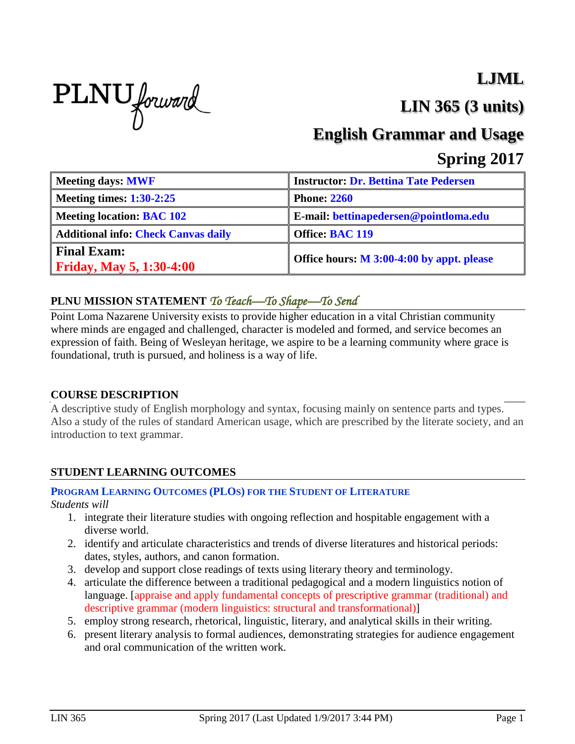# PLNU forward

## **LJML**

**LIN 365 (3 units)**

## **English Grammar and Usage**

### **Spring 2017**

| <b>Meeting days: MWF</b>                              | <b>Instructor: Dr. Bettina Tate Pedersen</b> |
|-------------------------------------------------------|----------------------------------------------|
| Meeting times: $1:30-2:25$                            | <b>Phone: 2260</b>                           |
| <b>Meeting location: BAC 102</b>                      | E-mail: bettinapedersen@pointloma.edu        |
| <b>Additional info: Check Canvas daily</b>            | <b>Office: BAC 119</b>                       |
| <b>Final Exam:</b><br><b>Friday, May 5, 1:30-4:00</b> | Office hours: M 3:00-4:00 by appt. please    |

#### **PLNU MISSION STATEMENT** *To Teach—To Shape—To Send*

Point Loma Nazarene University exists to provide higher education in a vital Christian community where minds are engaged and challenged, character is modeled and formed, and service becomes an expression of faith. Being of Wesleyan heritage, we aspire to be a learning community where grace is foundational, truth is pursued, and holiness is a way of life.

#### **COURSE DESCRIPTION**

A descriptive study of English morphology and syntax, focusing mainly on sentence parts and types. Also a study of the rules of standard American usage, which are prescribed by the literate society, and an introduction to text grammar.

#### **STUDENT LEARNING OUTCOMES**

#### **PROGRAM LEARNING OUTCOMES (PLOS) FOR THE STUDENT OF LITERATURE**

*Students will*

- 1. integrate their literature studies with ongoing reflection and hospitable engagement with a diverse world.
- 2. identify and articulate characteristics and trends of diverse literatures and historical periods: dates, styles, authors, and canon formation.
- 3. develop and support close readings of texts using literary theory and terminology.
- 4. articulate the difference between a traditional pedagogical and a modern linguistics notion of language. [appraise and apply fundamental concepts of prescriptive grammar (traditional) and descriptive grammar (modern linguistics: structural and transformational)]
- 5. employ strong research, rhetorical, linguistic, literary, and analytical skills in their writing.
- 6. present literary analysis to formal audiences, demonstrating strategies for audience engagement and oral communication of the written work.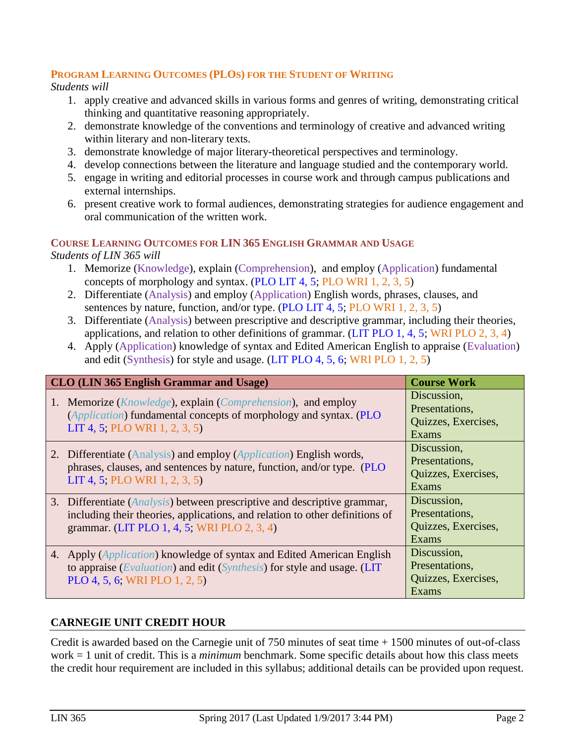#### **PROGRAM LEARNING OUTCOMES (PLOS) FOR THE STUDENT OF WRITING**

*Students will*

- 1. apply creative and advanced skills in various forms and genres of writing, demonstrating critical thinking and quantitative reasoning appropriately.
- 2. demonstrate knowledge of the conventions and terminology of creative and advanced writing within literary and non-literary texts.
- 3. demonstrate knowledge of major literary-theoretical perspectives and terminology.
- 4. develop connections between the literature and language studied and the contemporary world.
- 5. engage in writing and editorial processes in course work and through campus publications and external internships.
- 6. present creative work to formal audiences, demonstrating strategies for audience engagement and oral communication of the written work.

#### **COURSE LEARNING OUTCOMES FOR LIN 365 ENGLISH GRAMMAR AND USAGE**

*Students of LIN 365 will* 

- 1. Memorize (Knowledge), explain (Comprehension), and employ (Application) fundamental concepts of morphology and syntax. (PLO LIT 4, 5; PLO WRI 1, 2, 3, 5)
- 2. Differentiate (Analysis) and employ (Application) English words, phrases, clauses, and sentences by nature, function, and/or type. (PLO LIT 4, 5; PLO WRI 1, 2, 3, 5)
- 3. Differentiate (Analysis) between prescriptive and descriptive grammar, including their theories, applications, and relation to other definitions of grammar. (LIT PLO 1, 4, 5; WRI PLO 2, 3, 4)
- 4. Apply (Application) knowledge of syntax and Edited American English to appraise (Evaluation) and edit (Synthesis) for style and usage. (LIT PLO 4, 5, 6; WRI PLO 1, 2, 5)

| <b>CLO (LIN 365 English Grammar and Usage)</b>                                                                                                                                                                    | <b>Course Work</b>                                            |
|-------------------------------------------------------------------------------------------------------------------------------------------------------------------------------------------------------------------|---------------------------------------------------------------|
| 1. Memorize ( <i>Knowledge</i> ), explain ( <i>Comprehension</i> ), and employ<br>(Application) fundamental concepts of morphology and syntax. (PLO<br>LIT 4, 5; PLO WRI 1, 2, 3, 5)                              | Discussion,<br>Presentations,<br>Quizzes, Exercises,<br>Exams |
| 2. Differentiate (Analysis) and employ (Application) English words,<br>phrases, clauses, and sentences by nature, function, and/or type. (PLO<br>LIT 4, 5; PLO WRI 1, 2, 3, 5)                                    | Discussion,<br>Presentations,<br>Quizzes, Exercises,<br>Exams |
| 3. Differentiate ( <i>Analysis</i> ) between prescriptive and descriptive grammar,<br>including their theories, applications, and relation to other definitions of<br>grammar. (LIT PLO 1, 4, 5; WRI PLO 2, 3, 4) | Discussion,<br>Presentations,<br>Quizzes, Exercises,<br>Exams |
| 4. Apply ( <i>Application</i> ) knowledge of syntax and Edited American English<br>to appraise (Evaluation) and edit (Synthesis) for style and usage. (LIT<br>PLO 4, 5, 6; WRI PLO 1, 2, 5)                       | Discussion,<br>Presentations,<br>Quizzes, Exercises,<br>Exams |

#### **CARNEGIE UNIT CREDIT HOUR**

Credit is awarded based on the Carnegie unit of 750 minutes of seat time + 1500 minutes of out-of-class work = 1 unit of credit. This is a *minimum* benchmark. Some specific details about how this class meets the credit hour requirement are included in this syllabus; additional details can be provided upon request.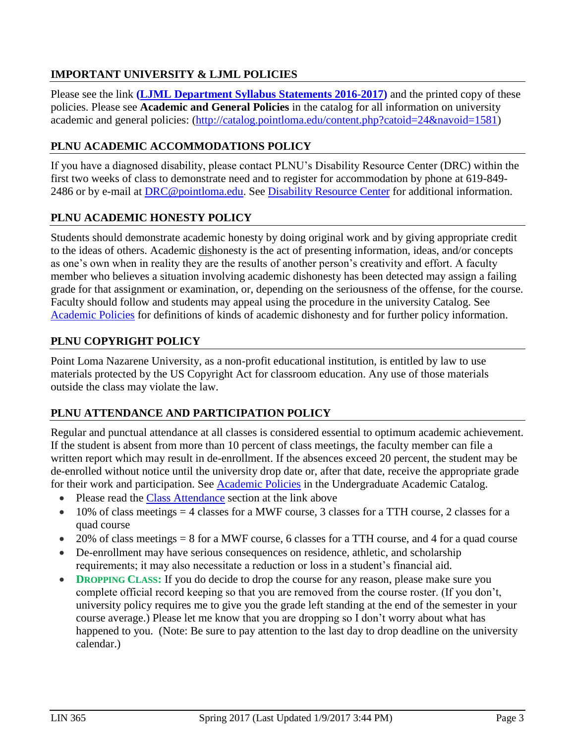#### **IMPORTANT UNIVERSITY & LJML POLICIES**

Please see the link **(LJML [Department](http://www.pointloma.edu/sites/default/files/filemanager/Literature_Journalism__Modern_Languages/LJML_Department_Syllabus_Statments_final_2015-16.pdf) Syllabus Statements 2016-2017)** and the printed copy of these policies. Please see **Academic and General Policies** in the catalog for all information on university academic and general policies: [\(http://catalog.pointloma.edu/content.php?catoid=24&navoid=1581\)](http://catalog.pointloma.edu/content.php?catoid=24&navoid=1581)

#### **PLNU ACADEMIC ACCOMMODATIONS POLICY**

If you have a diagnosed disability, please contact PLNU's Disability Resource Center (DRC) within the first two weeks of class to demonstrate need and to register for accommodation by phone at 619-849- 2486 or by e-mail at [DRC@pointloma.edu.](mailto:DRC@pointloma.edu) See [Disability Resource Center](http://www.pointloma.edu/experience/offices/administrative-offices/academic-advising-office/disability-resource-center) for additional information.

#### **PLNU ACADEMIC HONESTY POLICY**

Students should demonstrate academic honesty by doing original work and by giving appropriate credit to the ideas of others. Academic dishonesty is the act of presenting information, ideas, and/or concepts as one's own when in reality they are the results of another person's creativity and effort. A faculty member who believes a situation involving academic dishonesty has been detected may assign a failing grade for that assignment or examination, or, depending on the seriousness of the offense, for the course. Faculty should follow and students may appeal using the procedure in the university Catalog. See [Academic Policies](http://catalog.pointloma.edu/content.php?catoid=18&navoid=1278) for definitions of kinds of academic dishonesty and for further policy information.

#### **PLNU COPYRIGHT POLICY**

Point Loma Nazarene University, as a non-profit educational institution, is entitled by law to use materials protected by the US Copyright Act for classroom education. Any use of those materials outside the class may violate the law.

#### **PLNU ATTENDANCE AND PARTICIPATION POLICY**

Regular and punctual attendance at all classes is considered essential to optimum academic achievement. If the student is absent from more than 10 percent of class meetings, the faculty member can file a written report which may result in de-enrollment. If the absences exceed 20 percent, the student may be de-enrolled without notice until the university drop date or, after that date, receive the appropriate grade for their work and participation. See **Academic Policies** in the Undergraduate Academic Catalog.

- Please read the [Class Attendance](http://catalog.pointloma.edu/content.php?catoid=24&navoid=1581#Class_Attendance) section at the link above
- $\bullet$  10% of class meetings = 4 classes for a MWF course, 3 classes for a TTH course, 2 classes for a quad course
- $\bullet$  20% of class meetings = 8 for a MWF course, 6 classes for a TTH course, and 4 for a quad course
- De-enrollment may have serious consequences on residence, athletic, and scholarship requirements; it may also necessitate a reduction or loss in a student's financial aid.
- **DROPPING CLASS:** If you do decide to drop the course for any reason, please make sure you complete official record keeping so that you are removed from the course roster. (If you don't, university policy requires me to give you the grade left standing at the end of the semester in your course average.) Please let me know that you are dropping so I don't worry about what has happened to you. (Note: Be sure to pay attention to the last day to drop deadline on the university calendar.)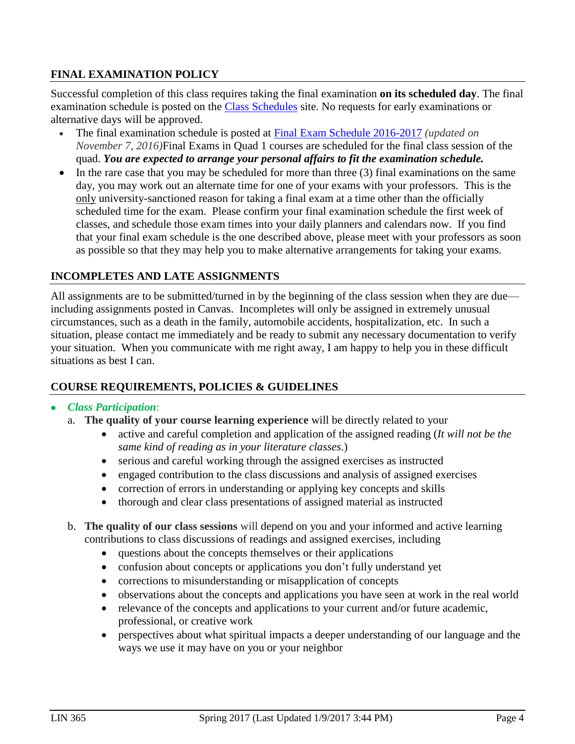#### **FINAL EXAMINATION POLICY**

Successful completion of this class requires taking the final examination **on its scheduled day**. The final examination schedule is posted on the [Class Schedules](http://www.pointloma.edu/experience/academics/class-schedules) site. No requests for early examinations or alternative days will be approved.

- The final examination schedule is posted at Final Exam Schedule [2016-2017](http://www.pointloma.edu/sites/default/files/filemanager/Academic_Affairs/Schedules/2016-17_Final_Exam_Schedule_-_MAIN_rev110716.pdf) *(updated on November 7, 2016)*Final Exams in Quad 1 courses are scheduled for the final class session of the quad. *You are expected to arrange your personal affairs to fit the examination schedule.*
- $\bullet$  In the rare case that you may be scheduled for more than three (3) final examinations on the same day, you may work out an alternate time for one of your exams with your professors. This is the only university-sanctioned reason for taking a final exam at a time other than the officially scheduled time for the exam. Please confirm your final examination schedule the first week of classes, and schedule those exam times into your daily planners and calendars now. If you find that your final exam schedule is the one described above, please meet with your professors as soon as possible so that they may help you to make alternative arrangements for taking your exams.

#### **INCOMPLETES AND LATE ASSIGNMENTS**

All assignments are to be submitted/turned in by the beginning of the class session when they are due including assignments posted in Canvas. Incompletes will only be assigned in extremely unusual circumstances, such as a death in the family, automobile accidents, hospitalization, etc. In such a situation, please contact me immediately and be ready to submit any necessary documentation to verify your situation. When you communicate with me right away, I am happy to help you in these difficult situations as best I can.

#### **COURSE REQUIREMENTS, POLICIES & GUIDELINES**

#### *Class Participation*:

- a. **The quality of your course learning experience** will be directly related to your
	- active and careful completion and application of the assigned reading (*It will not be the same kind of reading as in your literature classes*.)
	- serious and careful working through the assigned exercises as instructed
	- engaged contribution to the class discussions and analysis of assigned exercises
	- correction of errors in understanding or applying key concepts and skills
	- thorough and clear class presentations of assigned material as instructed
- b. **The quality of our class sessions** will depend on you and your informed and active learning contributions to class discussions of readings and assigned exercises, including
	- questions about the concepts themselves or their applications
	- confusion about concepts or applications you don't fully understand yet
	- corrections to misunderstanding or misapplication of concepts
	- observations about the concepts and applications you have seen at work in the real world
	- relevance of the concepts and applications to your current and/or future academic, professional, or creative work
	- perspectives about what spiritual impacts a deeper understanding of our language and the ways we use it may have on you or your neighbor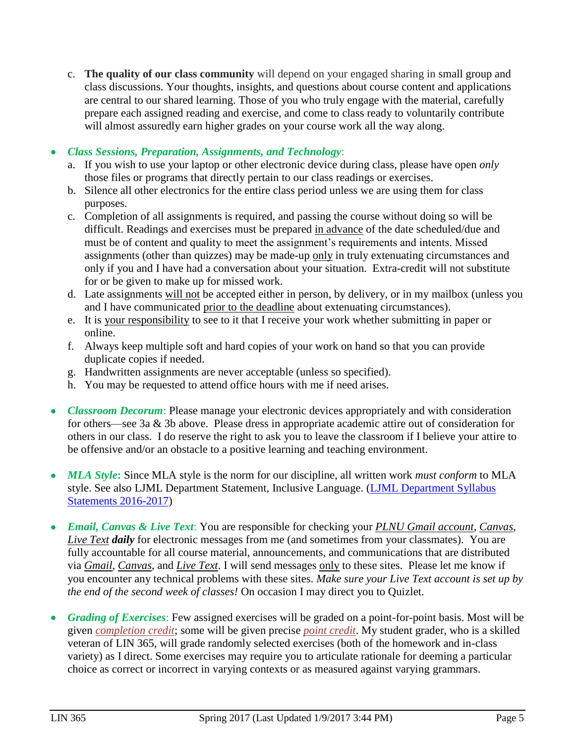- c. **The quality of our class community** will depend on your engaged sharing in small group and class discussions. Your thoughts, insights, and questions about course content and applications are central to our shared learning. Those of you who truly engage with the material, carefully prepare each assigned reading and exercise, and come to class ready to voluntarily contribute will almost assuredly earn higher grades on your course work all the way along.
- *Class Sessions, Preparation, Assignments, and Technology*:
	- a. If you wish to use your laptop or other electronic device during class, please have open *only* those files or programs that directly pertain to our class readings or exercises.
	- b. Silence all other electronics for the entire class period unless we are using them for class purposes.
	- c. Completion of all assignments is required, and passing the course without doing so will be difficult. Readings and exercises must be prepared in advance of the date scheduled/due and must be of content and quality to meet the assignment's requirements and intents. Missed assignments (other than quizzes) may be made-up only in truly extenuating circumstances and only if you and I have had a conversation about your situation. Extra-credit will not substitute for or be given to make up for missed work.
	- d. Late assignments will not be accepted either in person, by delivery, or in my mailbox (unless you and I have communicated prior to the deadline about extenuating circumstances).
	- e. It is your responsibility to see to it that I receive your work whether submitting in paper or online.
	- f. Always keep multiple soft and hard copies of your work on hand so that you can provide duplicate copies if needed.
	- g. Handwritten assignments are never acceptable (unless so specified).
	- h. You may be requested to attend office hours with me if need arises.
- *Classroom Decorum*: Please manage your electronic devices appropriately and with consideration for others—see 3a & 3b above. Please dress in appropriate academic attire out of consideration for others in our class. I do reserve the right to ask you to leave the classroom if I believe your attire to be offensive and/or an obstacle to a positive learning and teaching environment.
- *MLA Style*: Since MLA style is the norm for our discipline, all written work *must conform* to MLA style. See also LJML Department Statement, Inclusive Language. (LJML [Department](http://www.pointloma.edu/sites/default/files/filemanager/Literature_Journalism__Modern_Languages/LJML_Department_Syllabus_Statments_final_2015-16.pdf) Syllabus **Statements 2016-2017**)
- *Email, Canvas & Live Text*: You are responsible for checking your *PLNU Gmail account*, *Canvas*, *Live Text daily* for electronic messages from me (and sometimes from your classmates). You are fully accountable for all course material, announcements, and communications that are distributed via *Gmail*, *Canvas*, and *Live Text*. I will send messages only to these sites. Please let me know if you encounter any technical problems with these sites. *Make sure your Live Text account is set up by the end of the second week of classes!* On occasion I may direct you to Quizlet.
- *Grading of Exercises*: Few assigned exercises will be graded on a point-for-point basis. Most will be given *completion credit*; some will be given precise *point credit*. My student grader, who is a skilled veteran of LIN 365, will grade randomly selected exercises (both of the homework and in-class variety) as I direct. Some exercises may require you to articulate rationale for deeming a particular choice as correct or incorrect in varying contexts or as measured against varying grammars.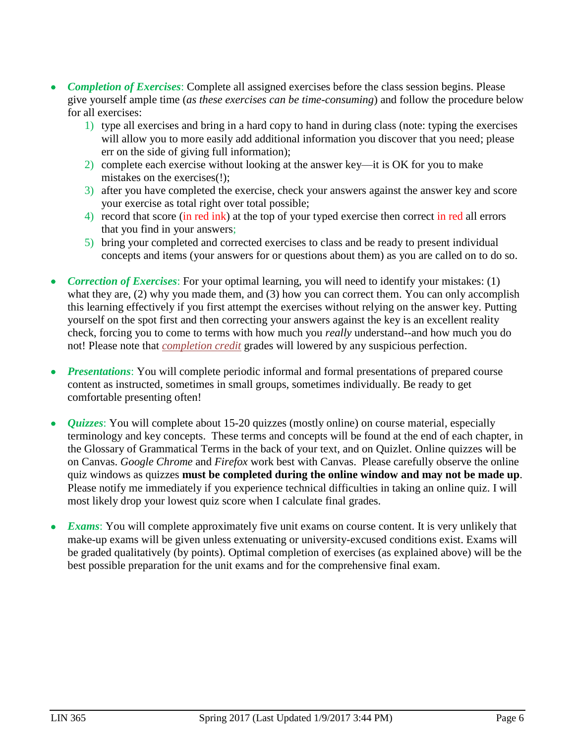- *Completion of Exercises*: Complete all assigned exercises before the class session begins. Please give yourself ample time (*as these exercises can be time-consuming*) and follow the procedure below for all exercises:
	- 1) type all exercises and bring in a hard copy to hand in during class (note: typing the exercises will allow you to more easily add additional information you discover that you need; please err on the side of giving full information);
	- 2) complete each exercise without looking at the answer key—it is OK for you to make mistakes on the exercises(!);
	- 3) after you have completed the exercise, check your answers against the answer key and score your exercise as total right over total possible;
	- 4) record that score (in red ink) at the top of your typed exercise then correct in red all errors that you find in your answers;
	- 5) bring your completed and corrected exercises to class and be ready to present individual concepts and items (your answers for or questions about them) as you are called on to do so.
- *Correction of Exercises*: For your optimal learning, you will need to identify your mistakes: (1) what they are, (2) why you made them, and (3) how you can correct them. You can only accomplish this learning effectively if you first attempt the exercises without relying on the answer key. Putting yourself on the spot first and then correcting your answers against the key is an excellent reality check, forcing you to come to terms with how much you *really* understand--and how much you do not! Please note that *completion credit* grades will lowered by any suspicious perfection.
- *Presentations*: You will complete periodic informal and formal presentations of prepared course content as instructed, sometimes in small groups, sometimes individually. Be ready to get comfortable presenting often!
- *Quizzes*: You will complete about 15-20 quizzes (mostly online) on course material, especially terminology and key concepts. These terms and concepts will be found at the end of each chapter, in the Glossary of Grammatical Terms in the back of your text, and on Quizlet. Online quizzes will be on Canvas. *Google Chrome* and *Firefox* work best with Canvas. Please carefully observe the online quiz windows as quizzes **must be completed during the online window and may not be made up**. Please notify me immediately if you experience technical difficulties in taking an online quiz. I will most likely drop your lowest quiz score when I calculate final grades.
- *Exams*: You will complete approximately five unit exams on course content. It is very unlikely that make-up exams will be given unless extenuating or university-excused conditions exist. Exams will be graded qualitatively (by points). Optimal completion of exercises (as explained above) will be the best possible preparation for the unit exams and for the comprehensive final exam.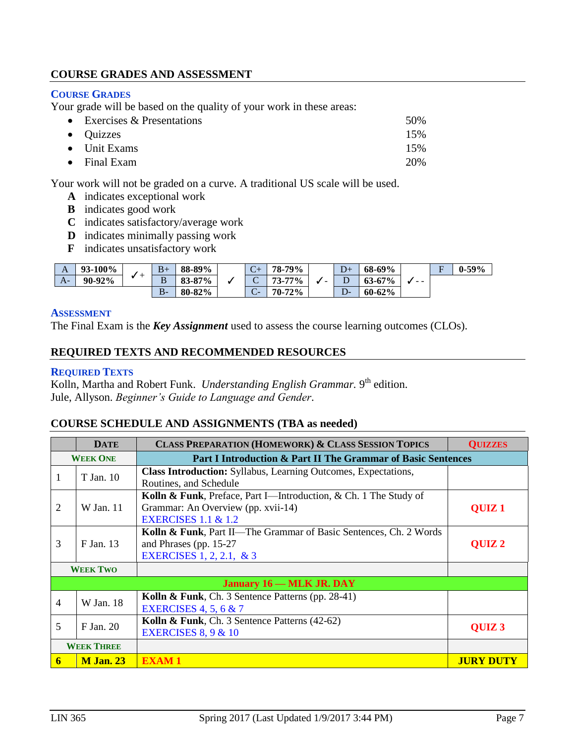#### **COURSE GRADES AND ASSESSMENT**

#### **COURSE GRADES**

Your grade will be based on the quality of your work in these areas:

| • Exercises $&$ Presentations | 50% |
|-------------------------------|-----|
| $\bullet$ Quizzes             | 15% |
| $\bullet$ Unit Exams          | 15% |
| $\bullet$ Final Exam          | 20% |

Your work will not be graded on a curve. A traditional US scale will be used.

- **A** indicates exceptional work
- **B** indicates good work
- **C** indicates satisfactory/average work
- **D** indicates minimally passing work
- **F** indicates unsatisfactory work

| A    | 93-100% | - | $B+$  | 88-89% | $\sqrt{ }$<br>$\mathsf{C}\mathsf{F}$ | 78-79%    |                          | $D+$        | 68-69%     |      | $\sim$ | $0-59%$ |
|------|---------|---|-------|--------|--------------------------------------|-----------|--------------------------|-------------|------------|------|--------|---------|
| $A-$ | 90-92%  |   | в     | 83-87% | ⌒<br>◡                               | 77%<br>72 | $\overline{\phantom{0}}$ | ∸           | $63 - 67%$ | $ -$ |        |         |
|      |         |   | $B -$ | 80-82% | $\Gamma$<br>◡                        | 70-72%    |                          | $D^{\perp}$ | 60-62%     |      |        |         |

#### **ASSESSMENT**

The Final Exam is the *Key Assignment* used to assess the course learning outcomes (CLOs).

#### **REQUIRED TEXTS AND RECOMMENDED RESOURCES**

#### **REQUIRED TEXTS**

Kolln, Martha and Robert Funk. *Understanding English Grammar*. 9<sup>th</sup> edition. Jule, Allyson. *Beginner's Guide to Language and Gender*.

#### **COURSE SCHEDULE AND ASSIGNMENTS (TBA as needed)**

|                                                                                 | <b>DATE</b>                     | <b>CLASS PREPARATION (HOMEWORK) &amp; CLASS SESSION TOPICS</b>    | <b>QUIZZES</b>    |  |  |  |
|---------------------------------------------------------------------------------|---------------------------------|-------------------------------------------------------------------|-------------------|--|--|--|
| <b>WEEK ONE</b><br>Part I Introduction & Part II The Grammar of Basic Sentences |                                 |                                                                   |                   |  |  |  |
| 1                                                                               | T Jan. 10                       | Class Introduction: Syllabus, Learning Outcomes, Expectations,    |                   |  |  |  |
|                                                                                 |                                 | Routines, and Schedule                                            |                   |  |  |  |
|                                                                                 |                                 | Kolln & Funk, Preface, Part I—Introduction, & Ch. 1 The Study of  |                   |  |  |  |
| 2                                                                               | W Jan. 11                       | Grammar: An Overview (pp. xvii-14)                                | QUIZ <sub>1</sub> |  |  |  |
|                                                                                 |                                 | <b>EXERCISES 1.1 &amp; 1.2</b>                                    |                   |  |  |  |
|                                                                                 |                                 | Kolln & Funk, Part II—The Grammar of Basic Sentences, Ch. 2 Words |                   |  |  |  |
| 3                                                                               | F Jan. 13                       | and Phrases (pp. 15-27)                                           | <b>QUIZ2</b>      |  |  |  |
|                                                                                 |                                 | EXERCISES 1, 2, 2.1, & 3                                          |                   |  |  |  |
|                                                                                 | <b>WEEK TWO</b>                 |                                                                   |                   |  |  |  |
|                                                                                 | <b>January 16 – MLK JR. DAY</b> |                                                                   |                   |  |  |  |
|                                                                                 | W Jan. 18                       | Kolln & Funk, Ch. 3 Sentence Patterns (pp. 28-41)                 |                   |  |  |  |
| 4                                                                               |                                 | EXERCISES 4, 5, 6 $& 7$                                           |                   |  |  |  |
| 5                                                                               | F Jan. 20                       | Kolln & Funk, Ch. 3 Sentence Patterns (42-62)                     |                   |  |  |  |
|                                                                                 |                                 | EXERCISES $8, 9 & 10$                                             | QUIZ <sub>3</sub> |  |  |  |
|                                                                                 | <b>WEEK THREE</b>               |                                                                   |                   |  |  |  |
| 6                                                                               | <b>M</b> Jan. 23                | <b>EXAM1</b>                                                      | <b>JURY DUTY</b>  |  |  |  |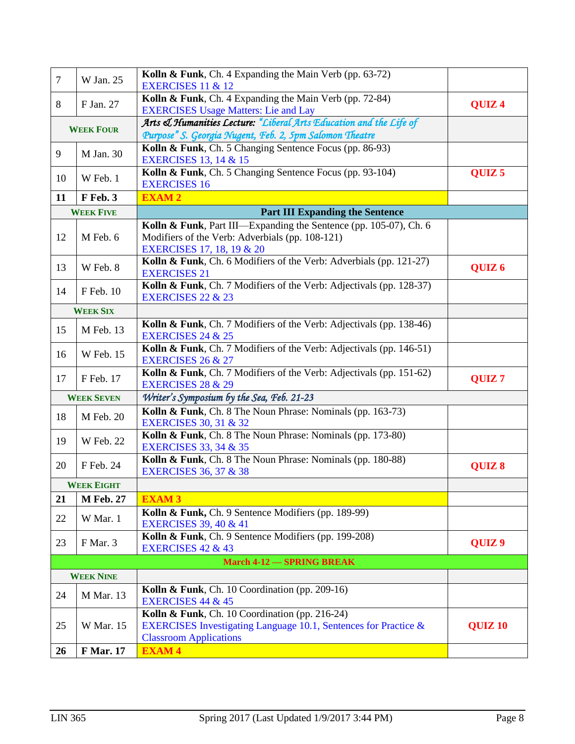| $\tau$                           | W Jan. 25         | Kolln & Funk, Ch. 4 Expanding the Main Verb (pp. 63-72)<br><b>EXERCISES 11 &amp; 12</b>             |                   |
|----------------------------------|-------------------|-----------------------------------------------------------------------------------------------------|-------------------|
|                                  |                   | Kolln & Funk, Ch. 4 Expanding the Main Verb (pp. 72-84)                                             |                   |
| 8                                | F Jan. 27         | <b>EXERCISES Usage Matters: Lie and Lay</b>                                                         | QUIZ <sub>4</sub> |
|                                  |                   | Arts & Humanities Lecture: "Liberal Arts Education and the Life of                                  |                   |
| <b>WEEK FOUR</b>                 |                   | Purpose" S. Georgia Nugent, Feb. 2, 5pm Salomon Theatre                                             |                   |
| 9                                | M Jan. 30         | Kolln & Funk, Ch. 5 Changing Sentence Focus (pp. 86-93)                                             |                   |
|                                  |                   | <b>EXERCISES 13, 14 &amp; 15</b><br>Kolln & Funk, Ch. 5 Changing Sentence Focus (pp. 93-104)        | QUIZ <sub>5</sub> |
| 10                               | W Feb. 1          | <b>EXERCISES 16</b>                                                                                 |                   |
| 11                               | F Feb. 3          | <b>EXAM2</b>                                                                                        |                   |
|                                  | <b>WEEK FIVE</b>  | <b>Part III Expanding the Sentence</b>                                                              |                   |
|                                  |                   | Kolln & Funk, Part III—Expanding the Sentence (pp. 105-07), Ch. 6                                   |                   |
| 12                               | M Feb. 6          | Modifiers of the Verb: Adverbials (pp. 108-121)                                                     |                   |
|                                  |                   | <b>EXERCISES 17, 18, 19 &amp; 20</b>                                                                |                   |
| 13                               | W Feb. 8          | Kolln & Funk, Ch. 6 Modifiers of the Verb: Adverbials (pp. 121-27)                                  | QUIZ <sub>6</sub> |
|                                  |                   | <b>EXERCISES 21</b>                                                                                 |                   |
| 14                               | F Feb. 10         | Kolln & Funk, Ch. 7 Modifiers of the Verb: Adjectivals (pp. 128-37)<br><b>EXERCISES 22 &amp; 23</b> |                   |
|                                  | <b>WEEK SIX</b>   |                                                                                                     |                   |
|                                  |                   | Kolln & Funk, Ch. 7 Modifiers of the Verb: Adjectivals (pp. 138-46)                                 |                   |
| 15                               | M Feb. 13         | <b>EXERCISES 24 &amp; 25</b>                                                                        |                   |
| 16                               | <b>W</b> Feb. 15  | Kolln & Funk, Ch. 7 Modifiers of the Verb: Adjectivals (pp. 146-51)                                 |                   |
|                                  |                   | <b>EXERCISES 26 &amp; 27</b>                                                                        |                   |
| 17                               | F Feb. 17         | Kolln & Funk, Ch. 7 Modifiers of the Verb: Adjectivals (pp. 151-62)<br><b>EXERCISES 28 &amp; 29</b> | QUIZ <sub>7</sub> |
|                                  | <b>WEEK SEVEN</b> | Writer's Symposium by the Sea, Feb. 21-23                                                           |                   |
|                                  |                   | Kolln & Funk, Ch. 8 The Noun Phrase: Nominals (pp. 163-73)                                          |                   |
| 18                               | M Feb. 20         | <b>EXERCISES 30, 31 &amp; 32</b>                                                                    |                   |
| 19                               | <b>W</b> Feb. 22  | Kolln & Funk, Ch. 8 The Noun Phrase: Nominals (pp. 173-80)                                          |                   |
|                                  |                   | <b>EXERCISES 33, 34 &amp; 35</b>                                                                    |                   |
| 20                               | F Feb. 24         | Kolln & Funk, Ch. 8 The Noun Phrase: Nominals (pp. 180-88)<br><b>EXERCISES 36, 37 &amp; 38</b>      | QUIZ 8            |
|                                  | <b>WEEK EIGHT</b> |                                                                                                     |                   |
| 21                               | <b>M</b> Feb. 27  | <b>EXAM 3</b>                                                                                       |                   |
|                                  |                   | Kolln & Funk, Ch. 9 Sentence Modifiers (pp. 189-99)                                                 |                   |
| 22                               | W Mar. 1          | <b>EXERCISES 39, 40 &amp; 41</b>                                                                    |                   |
| 23                               | F Mar. 3          | Kolln & Funk, Ch. 9 Sentence Modifiers (pp. 199-208)                                                |                   |
|                                  |                   | <b>EXERCISES 42 &amp; 43</b>                                                                        | QUIZ <sub>9</sub> |
| <b>March 4-12 - SPRING BREAK</b> |                   |                                                                                                     |                   |
| <b>WEEK NINE</b>                 |                   |                                                                                                     |                   |
| 24                               | M Mar. 13         | Kolln & Funk, Ch. 10 Coordination (pp. 209-16)<br><b>EXERCISES 44 &amp; 45</b>                      |                   |
|                                  |                   | Kolln & Funk, Ch. 10 Coordination (pp. 216-24)                                                      |                   |
| 25                               | W Mar. 15         | EXERCISES Investigating Language 10.1, Sentences for Practice &                                     | <b>QUIZ 10</b>    |
|                                  |                   | <b>Classroom Applications</b>                                                                       |                   |
| 26                               | <b>F</b> Mar. 17  | <b>EXAM4</b>                                                                                        |                   |